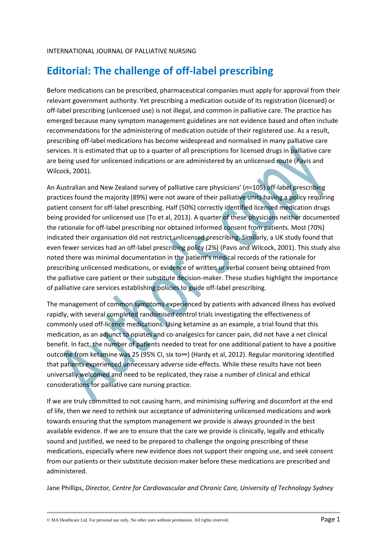## **Editorial: The challenge of off-label prescribing**

Before medications can be prescribed, pharmaceutical companies must apply for approval from their relevant government authority. Yet prescribing a medication outside of its registration (licensed) or off-label prescribing (unlicensed use) is not illegal, and common in palliative care. The practice has emerged because many symptom management guidelines are not evidence based and often include recommendations for the administering of medication outside of their registered use. As a result, prescribing off-label medications has become widespread and normalised in many palliative care services. It is estimated that up to a quarter of all prescriptions for licensed drugs in palliative care are being used for unlicensed indications or are administered by an unlicensed route (Pavis and Wilcock, 2001).

An Australian and New Zealand survey of palliative care physicians' (*n*=105) off-label prescribing practices found the majority (89%) were not aware of their palliative units having a policy requiring patient consent for off-label prescribing. Half (50%) correctly identified licensed medication drugs being provided for unlicensed use (To et al, 2013). A quarter of these physicians neither documented the rationale for off-label prescribing nor obtained informed consent from patients. Most (70%) indicated their organisation did not restrict unlicensed prescribing. Similarly, a UK study found that even fewer services had an off-label prescribing policy (2%) (Pavis and Wilcock, 2001). This study also noted there was minimal documentation in the patient's medical records of the rationale for prescribing unlicensed medications, or evidence of written or verbal consent being obtained from the palliative care patient or their substitute decision-maker. These studies highlight the importance of palliative care services establishing policies to guide off-label prescribing.

The management of common symptoms experienced by patients with advanced illness has evolved rapidly, with several completed randomised control trials investigating the effectiveness of commonly used off-licence medications. Using ketamine as an example, a trial found that this medication, as an adjunct to opiates and co-analgesics for cancer pain, did not have a net clinical benefit. In fact, the number of patients needed to treat for one additional patient to have a positive outcome from ketamine was 25 (95% CI, six to∞) (Hardy et al, 2012). Regular monitoring identified that patients experienced unnecessary adverse side-effects. While these results have not been universally welcomed and need to be replicated, they raise a number of clinical and ethical considerations for palliative care nursing practice.

If we are truly committed to not causing harm, and minimising suffering and discomfort at the end of life, then we need to rethink our acceptance of administering unlicensed medications and work towards ensuring that the symptom management we provide is always grounded in the best available evidence. If we are to ensure that the care we provide is clinically, legally and ethically sound and justified, we need to be prepared to challenge the ongoing prescribing of these medications, especially where new evidence does not support their ongoing use, and seek consent from our patients or their substitute decision-maker before these medications are prescribed and administered.

Jane Phillips, *Director, Centre for Cardiovascular and Chronic Care, University of Technology Sydney*